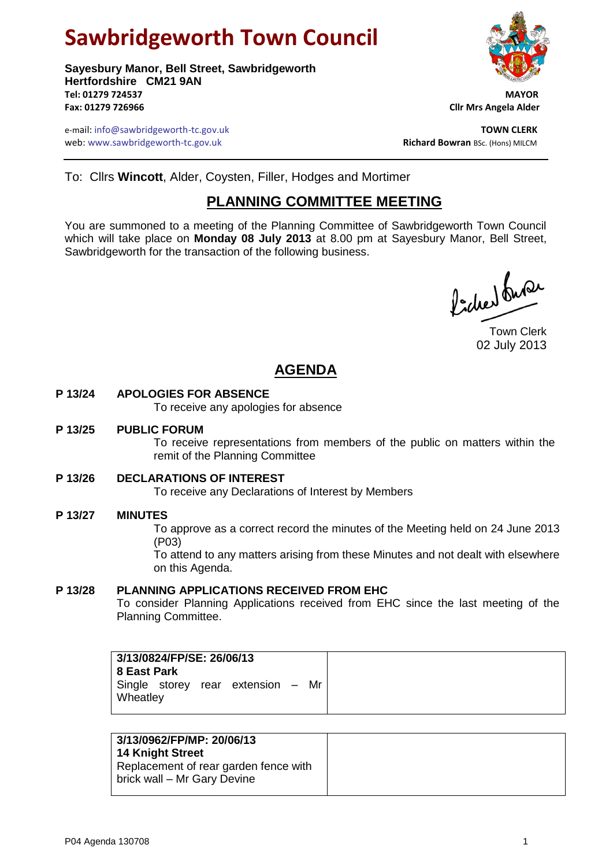# **Sawbridgeworth Town Council**

**Sayesbury Manor, Bell Street, Sawbridgeworth Hertfordshire CM21 9AN Tel: 01279 724537 MAYOR Fax: 01279 726966 Cllr Mrs Angela Alder**

e-mail: info@sawbridgeworth-tc.gov.uk<br>**Web:** www.sawbridgeworth-tc.gov.uk **TOWN CLERK**<br>**Richard Bowran** BSc. (Hons) MILCM web: www.sawbridgeworth-tc.gov.uk



To: Cllrs **Wincott**, Alder, Coysten, Filler, Hodges and Mortimer

## **PLANNING COMMITTEE MEETING**

You are summoned to a meeting of the Planning Committee of Sawbridgeworth Town Council which will take place on **Monday 08 July 2013** at 8.00 pm at Sayesbury Manor, Bell Street, Sawbridgeworth for the transaction of the following business.

Picked fune

Town Clerk 02 July 2013

## **AGENDA**

#### **P 13/24 APOLOGIES FOR ABSENCE**

To receive any apologies for absence

#### **P 13/25 PUBLIC FORUM**

To receive representations from members of the public on matters within the remit of the Planning Committee

#### **P 13/26 DECLARATIONS OF INTEREST**

To receive any Declarations of Interest by Members

#### **P 13/27 MINUTES**

To approve as a correct record the minutes of the Meeting held on 24 June 2013 (P03)

To attend to any matters arising from these Minutes and not dealt with elsewhere on this Agenda.

#### **P 13/28 PLANNING APPLICATIONS RECEIVED FROM EHC**

To consider Planning Applications received from EHC since the last meeting of the Planning Committee.

| Single storey rear extension - Mr |
|-----------------------------------|
|                                   |

| 3/13/0962/FP/MP: 20/06/13<br><b>14 Knight Street</b><br>Replacement of rear garden fence with |
|-----------------------------------------------------------------------------------------------|
| brick wall - Mr Gary Devine                                                                   |